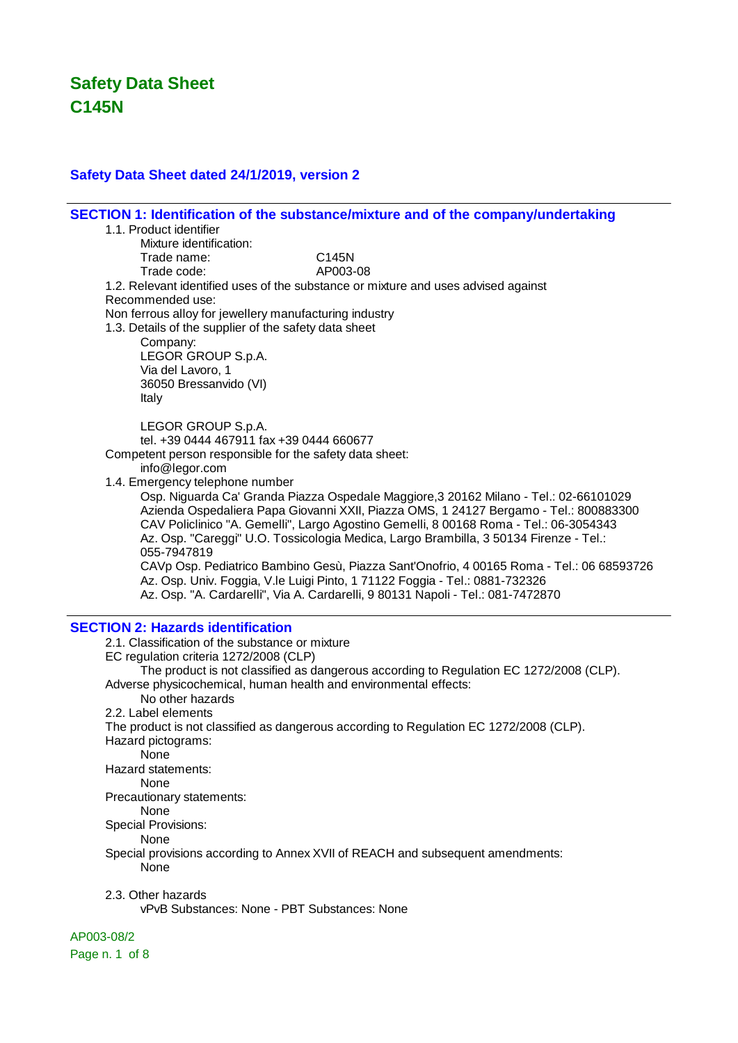### **Safety Data Sheet dated 24/1/2019, version 2**

**SECTION 1: Identification of the substance/mixture and of the company/undertaking** 1.1. Product identifier Mixture identification: Trade name: C145N Trade code: AP003-08 1.2. Relevant identified uses of the substance or mixture and uses advised against Recommended use: Non ferrous alloy for jewellery manufacturing industry 1.3. Details of the supplier of the safety data sheet Company: LEGOR GROUP S.p.A. Via del Lavoro, 1 36050 Bressanvido (VI) Italy LEGOR GROUP S.p.A. tel. +39 0444 467911 fax +39 0444 660677 Competent person responsible for the safety data sheet: info@legor.com 1.4. Emergency telephone number Osp. Niguarda Ca' Granda Piazza Ospedale Maggiore,3 20162 Milano - Tel.: 02-66101029 Azienda Ospedaliera Papa Giovanni XXII, Piazza OMS, 1 24127 Bergamo - Tel.: 800883300 CAV Policlinico "A. Gemelli", Largo Agostino Gemelli, 8 00168 Roma - Tel.: 06-3054343 Az. Osp. "Careggi" U.O. Tossicologia Medica, Largo Brambilla, 3 50134 Firenze - Tel.: 055-7947819 CAVp Osp. Pediatrico Bambino Gesù, Piazza Sant'Onofrio, 4 00165 Roma - Tel.: 06 68593726 Az. Osp. Univ. Foggia, V.le Luigi Pinto, 1 71122 Foggia - Tel.: 0881-732326 Az. Osp. "A. Cardarelli", Via A. Cardarelli, 9 80131 Napoli - Tel.: 081-7472870 **SECTION 2: Hazards identification** 2.1. Classification of the substance or mixture EC regulation criteria 1272/2008 (CLP) The product is not classified as dangerous according to Regulation EC 1272/2008 (CLP). Adverse physicochemical, human health and environmental effects: No other hazards 2.2. Label elements The product is not classified as dangerous according to Regulation EC 1272/2008 (CLP). Hazard pictograms: None Hazard statements: None Precautionary statements: None Special Provisions: **None** Special provisions according to Annex XVII of REACH and subsequent amendments: None 2.3. Other hazards

vPvB Substances: None - PBT Substances: None

#### AP003-08/2

Page n. 1 of 8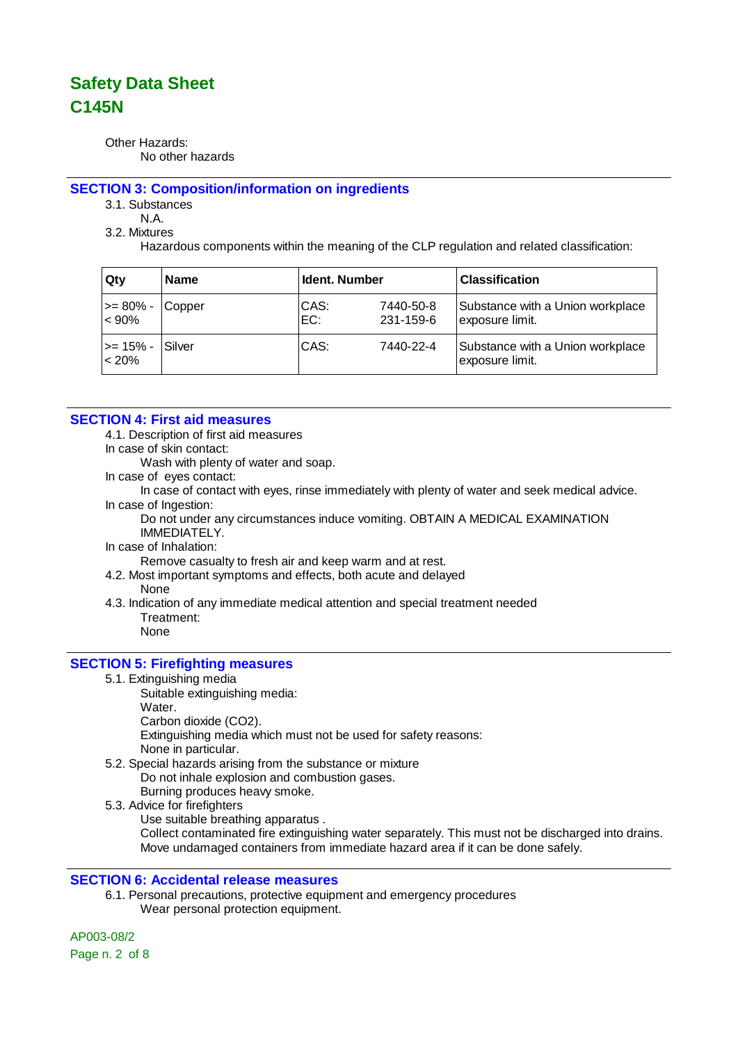Other Hazards: No other hazards

#### **SECTION 3: Composition/information on ingredients**

3.1. Substances

N.A.

3.2. Mixtures

Hazardous components within the meaning of the CLP regulation and related classification:

| Qty                   | <b>Name</b> | <b>Ident. Number</b> |                        | <b>Classification</b>                               |
|-----------------------|-------------|----------------------|------------------------|-----------------------------------------------------|
| >= 80% -<br>$< 90\%$  | Copper      | CAS:<br>EC:          | 7440-50-8<br>231-159-6 | Substance with a Union workplace<br>exposure limit. |
| l>= 15% -<br>$< 20\%$ | Silver      | CAS:                 | 7440-22-4              | Substance with a Union workplace<br>exposure limit. |

### **SECTION 4: First aid measures**

4.1. Description of first aid measures

In case of skin contact:

Wash with plenty of water and soap.

In case of eyes contact:

In case of contact with eyes, rinse immediately with plenty of water and seek medical advice. In case of Ingestion:

Do not under any circumstances induce vomiting. OBTAIN A MEDICAL EXAMINATION IMMEDIATELY.

In case of Inhalation:

Remove casualty to fresh air and keep warm and at rest.

- 4.2. Most important symptoms and effects, both acute and delayed
	- None
- 4.3. Indication of any immediate medical attention and special treatment needed Treatment: None

### **SECTION 5: Firefighting measures**

- 5.1. Extinguishing media
	- Suitable extinguishing media: Water. Carbon dioxide (CO2).

Extinguishing media which must not be used for safety reasons: None in particular.

- 5.2. Special hazards arising from the substance or mixture Do not inhale explosion and combustion gases. Burning produces heavy smoke.
- 5.3. Advice for firefighters
	- Use suitable breathing apparatus .

Collect contaminated fire extinguishing water separately. This must not be discharged into drains. Move undamaged containers from immediate hazard area if it can be done safely.

### **SECTION 6: Accidental release measures**

6.1. Personal precautions, protective equipment and emergency procedures Wear personal protection equipment.

AP003-08/2 Page n. 2 of 8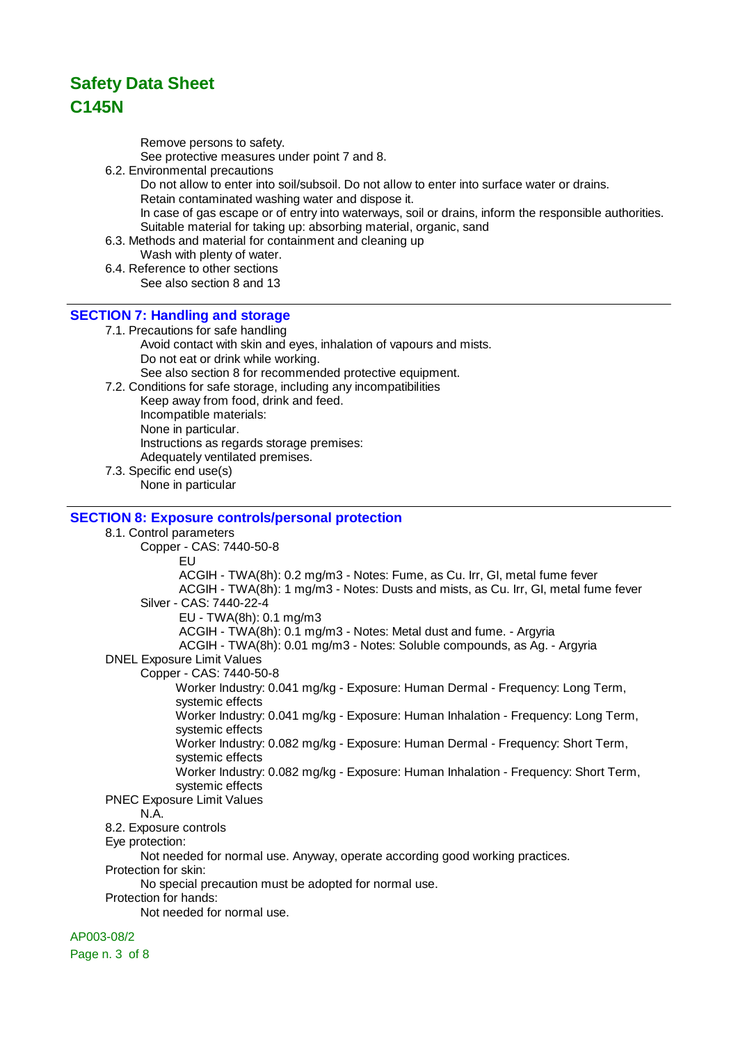Remove persons to safety.

See protective measures under point 7 and 8.

6.2. Environmental precautions

Do not allow to enter into soil/subsoil. Do not allow to enter into surface water or drains. Retain contaminated washing water and dispose it. In case of gas escape or of entry into waterways, soil or drains, inform the responsible authorities. Suitable material for taking up: absorbing material, organic, sand

- 6.3. Methods and material for containment and cleaning up
	- Wash with plenty of water.
- 6.4. Reference to other sections See also section 8 and 13

### **SECTION 7: Handling and storage**

7.1. Precautions for safe handling Avoid contact with skin and eyes, inhalation of vapours and mists. Do not eat or drink while working.

See also section 8 for recommended protective equipment.

7.2. Conditions for safe storage, including any incompatibilities Keep away from food, drink and feed. Incompatible materials: None in particular. Instructions as regards storage premises: Adequately ventilated premises.

7.3. Specific end use(s) None in particular

### **SECTION 8: Exposure controls/personal protection**

8.1. Control parameters Copper - CAS: 7440-50-8 EU ACGIH - TWA(8h): 0.2 mg/m3 - Notes: Fume, as Cu. Irr, GI, metal fume fever ACGIH - TWA(8h): 1 mg/m3 - Notes: Dusts and mists, as Cu. Irr, GI, metal fume fever Silver - CAS: 7440-22-4 EU - TWA(8h): 0.1 mg/m3 ACGIH - TWA(8h): 0.1 mg/m3 - Notes: Metal dust and fume. - Argyria ACGIH - TWA(8h): 0.01 mg/m3 - Notes: Soluble compounds, as Ag. - Argyria DNEL Exposure Limit Values Copper - CAS: 7440-50-8 Worker Industry: 0.041 mg/kg - Exposure: Human Dermal - Frequency: Long Term, systemic effects Worker Industry: 0.041 mg/kg - Exposure: Human Inhalation - Frequency: Long Term, systemic effects Worker Industry: 0.082 mg/kg - Exposure: Human Dermal - Frequency: Short Term, systemic effects Worker Industry: 0.082 mg/kg - Exposure: Human Inhalation - Frequency: Short Term, systemic effects PNEC Exposure Limit Values N.A. 8.2. Exposure controls Eye protection: Not needed for normal use. Anyway, operate according good working practices. Protection for skin: No special precaution must be adopted for normal use. Protection for hands: Not needed for normal use.

AP003-08/2

Page n. 3 of 8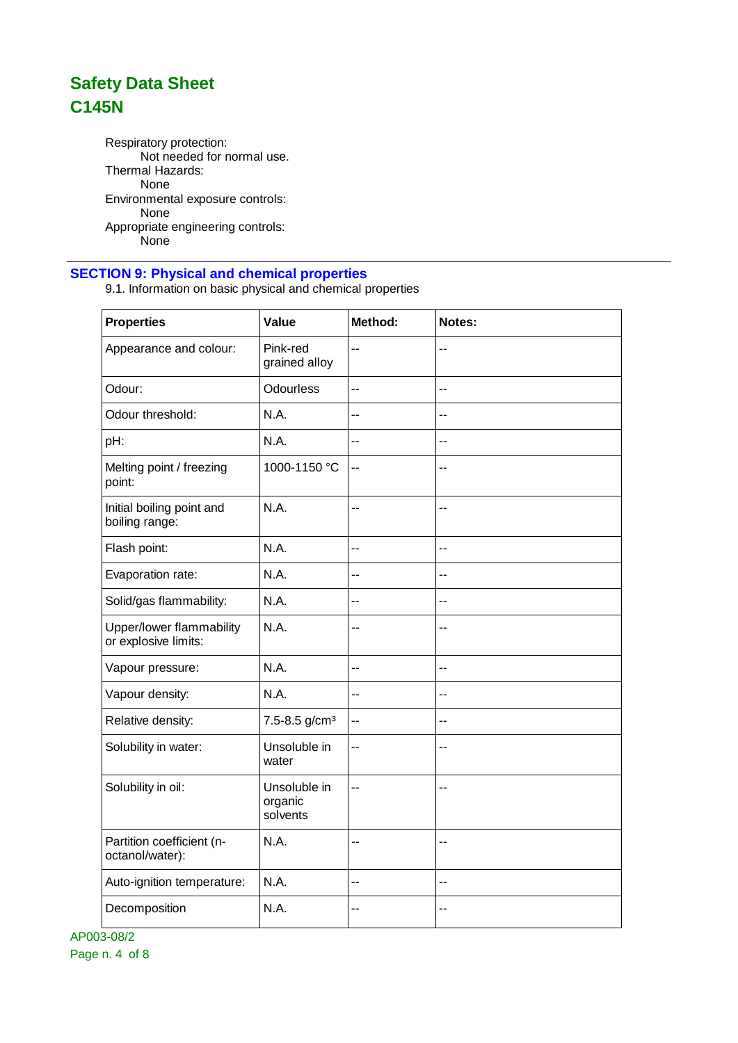Respiratory protection: Not needed for normal use. Thermal Hazards: None Environmental exposure controls: None Appropriate engineering controls: .<br>None

### **SECTION 9: Physical and chemical properties**

9.1. Information on basic physical and chemical properties

| <b>Properties</b>                                | Value                               | Method: | Notes:                   |
|--------------------------------------------------|-------------------------------------|---------|--------------------------|
| Appearance and colour:                           | Pink-red<br>grained alloy           | $-$     | $-$                      |
| Odour:                                           | Odourless                           | --      | $\overline{\phantom{a}}$ |
| Odour threshold:                                 | N.A.                                | $-$     | $-$                      |
| pH:                                              | N.A.                                | $-$     | $-$                      |
| Melting point / freezing<br>point:               | 1000-1150 °C                        | $-$     | $-$                      |
| Initial boiling point and<br>boiling range:      | N.A.                                | --      | $-$                      |
| Flash point:                                     | N.A.                                | --      | $-$                      |
| Evaporation rate:                                | N.A.                                | $-$     | $\overline{\phantom{a}}$ |
| Solid/gas flammability:                          | N.A.                                | $-$     | $-$                      |
| Upper/lower flammability<br>or explosive limits: | N.A.                                | --      | $-$                      |
| Vapour pressure:                                 | N.A.                                | $-$     | --                       |
| Vapour density:                                  | N.A.                                | $-$     | $\overline{a}$           |
| Relative density:                                | 7.5-8.5 g/cm <sup>3</sup>           | $-$     | --                       |
| Solubility in water:                             | Unsoluble in<br>water               | --      | $-$                      |
| Solubility in oil:                               | Unsoluble in<br>organic<br>solvents | --      | $\overline{\phantom{a}}$ |
| Partition coefficient (n-<br>octanol/water):     | N.A.                                | --      | $-$                      |
| Auto-ignition temperature:                       | N.A.                                | $-$     | $-$                      |
| Decomposition                                    | N.A.                                | --      | --                       |

AP003-08/2 Page n. 4 of 8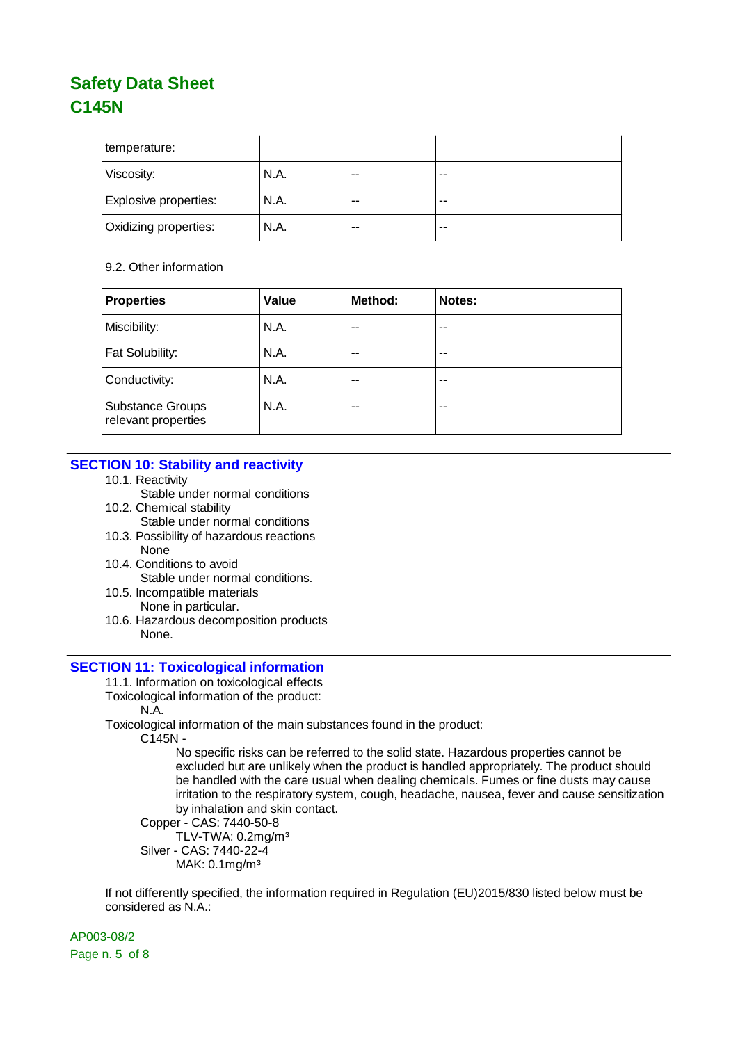| temperature:                 |      |    |       |
|------------------------------|------|----|-------|
| Viscosity:                   | N.A. | -- | $- -$ |
| Explosive properties:        | N.A. | -- | $-$   |
| <b>Oxidizing properties:</b> | N.A. | -- | $- -$ |

#### 9.2. Other information

| <b>Properties</b>                              | Value | Method: | Notes: |
|------------------------------------------------|-------|---------|--------|
| Miscibility:                                   | N.A.  | --      | --     |
| Fat Solubility:                                | N.A.  | $ -$    | --     |
| Conductivity:                                  | N.A.  | --      | --     |
| <b>Substance Groups</b><br>relevant properties | N.A.  | --      | --     |

### **SECTION 10: Stability and reactivity**

- 10.1. Reactivity
	- Stable under normal conditions
- 10.2. Chemical stability Stable under normal conditions
- 10.3. Possibility of hazardous reactions None
- 10.4. Conditions to avoid Stable under normal conditions.
- 10.5. Incompatible materials None in particular.
- 10.6. Hazardous decomposition products None.

### **SECTION 11: Toxicological information**

- 11.1. Information on toxicological effects
- Toxicological information of the product:
	- N.A.
- Toxicological information of the main substances found in the product:

C145N -

No specific risks can be referred to the solid state. Hazardous properties cannot be excluded but are unlikely when the product is handled appropriately. The product should be handled with the care usual when dealing chemicals. Fumes or fine dusts may cause irritation to the respiratory system, cough, headache, nausea, fever and cause sensitization by inhalation and skin contact.

```
Copper - CAS: 7440-50-8
```
TLV-TWA: 0.2mg/m³ Silver - CAS: 7440-22-4

MAK: 0.1mg/m³

If not differently specified, the information required in Regulation (EU)2015/830 listed below must be considered as N.A.:

AP003-08/2 Page n. 5 of 8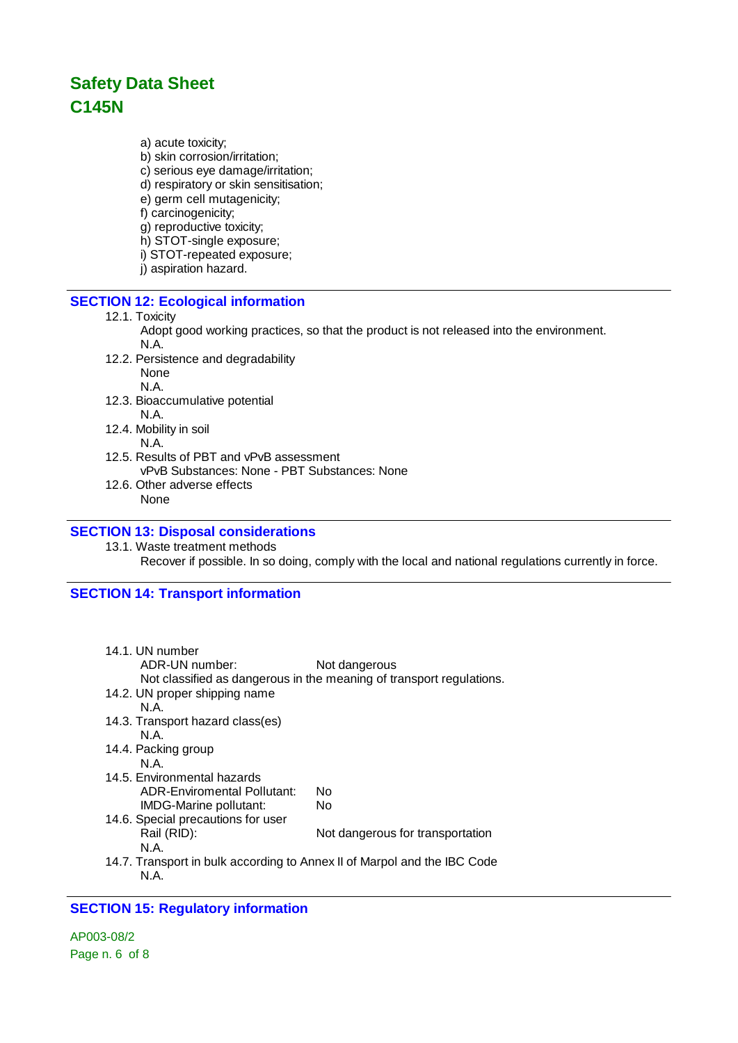a) acute toxicity;

- b) skin corrosion/irritation;
- c) serious eye damage/irritation;
- d) respiratory or skin sensitisation;
- e) germ cell mutagenicity;
- f) carcinogenicity;
- g) reproductive toxicity;
- h) STOT-single exposure;
- i) STOT-repeated exposure;
- j) aspiration hazard.

### **SECTION 12: Ecological information**

#### 12.1. Toxicity

- Adopt good working practices, so that the product is not released into the environment. N.A.
- 12.2. Persistence and degradability None N.A.
- 12.3. Bioaccumulative potential N.A.
- 12.4. Mobility in soil
- N.A. 12.5. Results of PBT and vPvB assessment
- vPvB Substances: None PBT Substances: None 12.6. Other adverse effects
	- None

### **SECTION 13: Disposal considerations**

13.1. Waste treatment methods Recover if possible. In so doing, comply with the local and national regulations currently in force.

### **SECTION 14: Transport information**

| 14.1. UN number<br>ADR-UN number:                                                | Not dangerous<br>Not classified as dangerous in the meaning of transport regulations. |
|----------------------------------------------------------------------------------|---------------------------------------------------------------------------------------|
| 14.2. UN proper shipping name                                                    |                                                                                       |
| N A                                                                              |                                                                                       |
| 14.3. Transport hazard class(es)                                                 |                                                                                       |
| N A                                                                              |                                                                                       |
| 14.4. Packing group                                                              |                                                                                       |
| N.A.                                                                             |                                                                                       |
| 14.5. Environmental hazards                                                      |                                                                                       |
| ADR-Enviromental Pollutant:                                                      | N٥                                                                                    |
| IMDG-Marine pollutant:                                                           | No.                                                                                   |
| 14.6. Special precautions for user                                               |                                                                                       |
| Rail (RID):                                                                      | Not dangerous for transportation                                                      |
| N.A.                                                                             |                                                                                       |
| 14.7. Transport in bulk according to Annex II of Marpol and the IBC Code<br>N.A. |                                                                                       |

### **SECTION 15: Regulatory information**

AP003-08/2 Page n. 6 of 8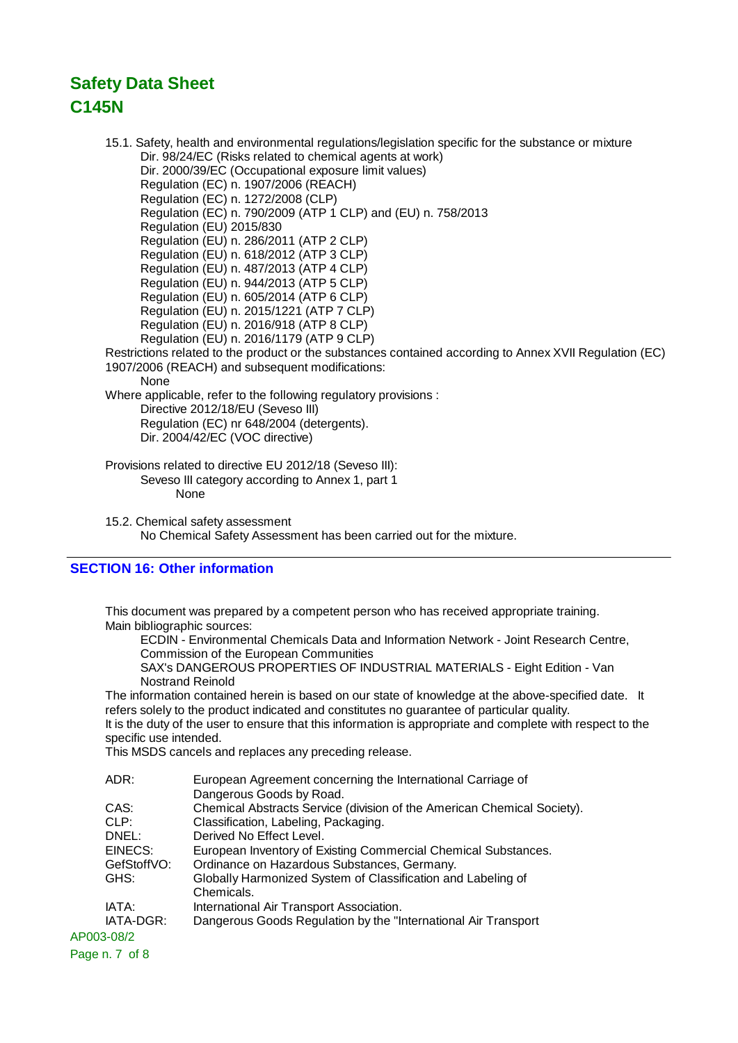15.1. Safety, health and environmental regulations/legislation specific for the substance or mixture Dir. 98/24/EC (Risks related to chemical agents at work) Dir. 2000/39/EC (Occupational exposure limit values) Regulation (EC) n. 1907/2006 (REACH) Regulation (EC) n. 1272/2008 (CLP) Regulation (EC) n. 790/2009 (ATP 1 CLP) and (EU) n. 758/2013 Regulation (EU) 2015/830 Regulation (EU) n. 286/2011 (ATP 2 CLP) Regulation (EU) n. 618/2012 (ATP 3 CLP) Regulation (EU) n. 487/2013 (ATP 4 CLP) Regulation (EU) n. 944/2013 (ATP 5 CLP) Regulation (EU) n. 605/2014 (ATP 6 CLP) Regulation (EU) n. 2015/1221 (ATP 7 CLP) Regulation (EU) n. 2016/918 (ATP 8 CLP) Regulation (EU) n. 2016/1179 (ATP 9 CLP) Restrictions related to the product or the substances contained according to Annex XVII Regulation (EC) 1907/2006 (REACH) and subsequent modifications: **None** Where applicable, refer to the following regulatory provisions : Directive 2012/18/EU (Seveso III) Regulation (EC) nr 648/2004 (detergents). Dir. 2004/42/EC (VOC directive) Provisions related to directive EU 2012/18 (Seveso III): Seveso III category according to Annex 1, part 1 None

15.2. Chemical safety assessment No Chemical Safety Assessment has been carried out for the mixture.

### **SECTION 16: Other information**

This document was prepared by a competent person who has received appropriate training. Main bibliographic sources:

ECDIN - Environmental Chemicals Data and Information Network - Joint Research Centre, Commission of the European Communities

SAX's DANGEROUS PROPERTIES OF INDUSTRIAL MATERIALS - Eight Edition - Van Nostrand Reinold

The information contained herein is based on our state of knowledge at the above-specified date. It refers solely to the product indicated and constitutes no guarantee of particular quality.

It is the duty of the user to ensure that this information is appropriate and complete with respect to the specific use intended.

This MSDS cancels and replaces any preceding release.

| ADR:        | European Agreement concerning the International Carriage of             |
|-------------|-------------------------------------------------------------------------|
|             | Dangerous Goods by Road.                                                |
| CAS:        | Chemical Abstracts Service (division of the American Chemical Society). |
| CLP:        | Classification, Labeling, Packaging.                                    |
| DNEL:       | Derived No Effect Level.                                                |
| EINECS:     | European Inventory of Existing Commercial Chemical Substances.          |
| GefStoffVO: | Ordinance on Hazardous Substances, Germany.                             |
| GHS:        | Globally Harmonized System of Classification and Labeling of            |
|             | Chemicals.                                                              |
| IATA:       | International Air Transport Association.                                |
| IATA-DGR:   | Dangerous Goods Regulation by the "International Air Transport          |
| AP003-08/2  |                                                                         |
|             |                                                                         |

Page n. 7 of 8